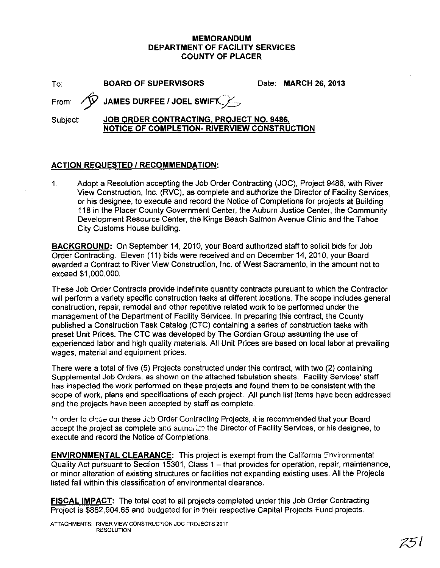#### **MEMORANDUM DEPARTMENT OF FACILITY SERVICES COUNTY OF PLACER**

To: **BOARD OF SUPERVISORS** Date: **MARCH** 26, **2013**

**From:**  $\sqrt{V}$  JAMES DURFEE / JOEL SWIFT

Subject: **JOB ORDER CONTRACTING. PROJECT NO. 9486, NOTICE OF COMPLETION- RIVERVIEW CONSTRUCTION**

#### **ACTION REQUESTED I RECOMMENDATION:**

1. Adopt a Resolution accepting the Job Order Contracting (JOC), Project 9486, with River View Construction, Inc. (RVC), as complete and authorize the Director of Facility Services, or his designee, to execute and record the Notice of Completions for projects at Building 118 in the Placer County Government Center, the Auburn Justice Center, the Community Development Resource Center, the Kings Beach Salmon Avenue Clinic and the Tahoe City Customs House building.

**BACKGROUND:** On September 14, 2010, your Board authorized staff to solicit bids for Job Order Contracting. Eleven (11) bids were received and on December 14, 2010, your Board awarded a Contract to River View Construction, Inc. of West Sacramento, in the amount not to exceed \$1,000,000.

These Job Order Contracts provide indefinite quantity contracts pursuant to which the Contractor will perform a variety specific construction tasks at different locations. The scope includes general construction, repair, remodel and other repetitive related work to be performed under the management of the Department of Facility Services. In preparing this contract, the County published a Construction Task Catalog (CTC) containing a series of construction tasks with preset Unit Prices. The CTC was developed by The Gordian Group assuming the use of experienced labor and high quality materials. All Unit Prices are based on local labor at prevailing wages, material and equipment prices.

There were a total of five (5) Projects constructed under this contract, with two (2) containing Supplemental Job Orders, as shown on the attached tabulation sheets. Facility Services' staff has inspected the work performed on these projects and found them to be consistent with the scope of work, plans and specifications of each project. All punch list items have been addressed and the projects have been accepted by staff as complete.

In order to close out these Jcb Order Contracting Projects, it is recommended that your Board accept the project as complete and authorize the Director of Facility Services, or his designee, to execute and record the Notice of Completions.

**ENVIRONMENTAL CLEARANCE:** This project is exempt from the California Environmental Quality Act pursuant to Section 15301, Class 1 - that provides for operation, repair, maintenance, or minor alteration of existing structures or facilities not expanding existing uses. All the Projects listed fall within this classification of environmental clearance.

**FISCAL IMPACT:** The total cost to all projects completed under this Job Order Contracting Project is \$862,904.65 and budgeted for in their respective Capital Projects Fund projects.

ATTACHMENTS: RIVER VIEW CONSTRUCTION Joe PROJECTS 2011 RESOLUTION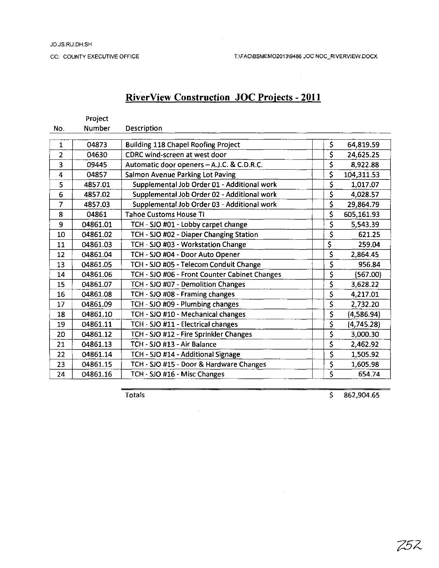### **RiverView Construction JOC Projects - 2011**

|                | Project  |                                               |                                     |            |
|----------------|----------|-----------------------------------------------|-------------------------------------|------------|
| No.            | Number   | Description                                   |                                     |            |
| $\mathbf{1}$   | 04873    | <b>Building 118 Chapel Roofing Project</b>    | \$                                  | 64,819.59  |
| $\overline{2}$ | 04630    | CDRC wind-screen at west door                 | \$                                  | 24,625.25  |
| 3              | 09445    | Automatic door openers - A.J.C. & C.D.R.C.    | \$                                  | 8,922.88   |
| 4              | 04857    | Salmon Avenue Parking Lot Paving              | \$                                  | 104,311.53 |
| 5              | 4857.01  | Supplemental Job Order 01 - Additional work   | \$                                  | 1,017.07   |
| 6              | 4857.02  | Supplemental Job Order 02 - Additional work   | \$                                  | 4,028.57   |
| 7              | 4857.03  | Supplemental Job Order 03 - Additional work   | \$                                  | 29,864.79  |
| 8              | 04861    | <b>Tahoe Customs House TI</b>                 | \$                                  | 605,161.93 |
| 9              | 04861.01 | TCH - SJO #01 - Lobby carpet change           | \$                                  | 5,543.39   |
| 10             | 04861.02 | TCH - SJO #02 - Diaper Changing Station       | \$                                  | 621.25     |
| 11             | 04861.03 | TCH - SJO #03 - Workstation Change            | \$                                  | 259.04     |
| 12             | 04861.04 | TCH - SJO #04 - Door Auto Opener              | \$                                  | 2,864.45   |
| 13             | 04861.05 | TCH - SJO #05 - Telecom Conduit Change        | \$                                  | 956.84     |
| 14             | 04861.06 | TCH - SJO #06 - Front Counter Cabinet Changes | \$                                  | (567.00)   |
| 15             | 04861.07 | TCH - SJO #07 - Demolition Changes            | \$                                  | 3,628.22   |
| 16             | 04861.08 | TCH - SJO #08 - Framing changes               | \$                                  | 4,217.01   |
| 17             | 04861.09 | TCH - SJO #09 - Plumbing changes              | \$                                  | 2,732.20   |
| 18             | 04861.10 | TCH - SJO #10 - Mechanical changes            | \$                                  | (4,586.94) |
| 19             | 04861.11 | TCH - SJO #11 - Electrical changes            | $\overline{\boldsymbol{\varsigma}}$ | (4,745.28) |
| 20             | 04861.12 | TCH - SJO #12 - Fire Sprinkler Changes        | \$                                  | 3,000.30   |
| 21             | 04861.13 | TCH - SJO #13 - Air Balance                   | \$                                  | 2,462.92   |
| 22             | 04861.14 | TCH - SJO #14 - Additional Signage            | \$                                  | 1,505.92   |
| 23             | 04861.15 | TCH - SJO #15 - Door & Hardware Changes       | \$                                  | 1,605.98   |
| 24             | 04861.16 | TCH - SJO #16 - Misc Changes                  | \$                                  | 654.74     |

 $\sim 10$ 

Totals \$ 862,904.65

 $\sim 10^7$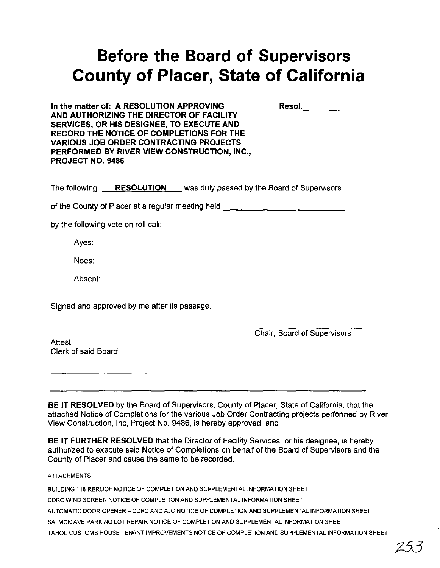# **Before the Board of Supervisors County of Placer, State of California**

| Resol. |
|--------|
|--------|

**In the matter of: A RESOLUTION APPROVING AND AUTHORIZING THE DIRECTOR OF FACILITY SERVICES, OR HIS DESIGNEE, TO EXECUTE AND RECORD THE NOTICE OF COMPLETIONS FOR THE VARIOUS JOB ORDER CONTRACTING PROJECTS PERFORMED BY RIVER VIEW CONSTRUCTION, INC., PROJECT NO. 9486**

**The following <b>RESOLUTION** was duly passed by the Board of Supervisors

of the County of Placer at a regular meeting held \_\_\_\_\_\_\_\_\_\_\_\_\_\_\_\_\_\_\_\_\_\_\_\_\_\_\_\_\_\_\_

by the following vote on roll call:

Ayes:

Noes:

Absent:

Signed and approved by me after its passage.

Chair, Board of Supervisors

Attest: Clerk of said Board

**BE IT RESOLVED** by the Board of Supervisors, County of Placer, State of California, that the attached Notice of Completions for the various Job Order Contracting projects performed by River View Construction, Inc, Project No. 9486, is hereby approved; and

**BE IT FURTHER RESOLVED** that the Director of Facility Services, or his designee, is hereby authorized to execute said Notice of Completions on behalf of the Board of Supervisors and the County of Placer and cause the same to be recorded.

ATIACHMENTS:

BUILDING 118 REROOF NOTICE OF COMPLETION AND SUPPLEMENTAL INFORMATION SHEET CDRC WIND SCREEN NOTICE OF COMPLETION AND SUPPLEMENTAL INFORMATION SHEET AUTOMATIC DOOR OPENER - CDRC AND AJC NOTICE OF COMPLETION AND SUPPLEMENTAL INFORMATION SHEET SALMON AVE PARKING LOT REPAIR NOTICE OF COMPLETION AND SUPPLEMENTAL INFORMATION SHEET TAHOE CUSTOMS HOUSE TENANT IMPROVEMENTS NOTICE OF COMPLETION AND SUPPLEMENTAL INFORMATION SHEET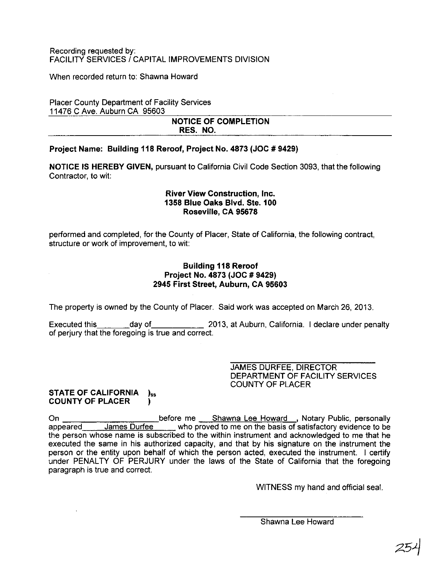When recorded return to: Shawna Howard

Placer County Department of Facility Services 11476 C Ave. Auburn CA 95603

#### NOTICE OF COMPLETION RES. NO.

#### Project Name: Building 118 Reroof, Project No. 4873 (JOC # 9429)

NOTICE IS HEREBY GIVEN, pursuant to California Civil Code Section 3093, that the following Contractor, to wit:

#### River View Construction, Inc. 1358 Blue Oaks Blvd. Ste. 100 Roseville, CA 95678

performed and completed, for the County of Placer, State of California, the following contract, structure or work of improvement, to wit:

#### Building 118 Reroof Project No. 4873 (JOC # 9429) 2945 First Street, Auburn, CA 95603

The property is owned by the County of Placer. Said work was accepted on March 26, 2013.

Executed this day of 2013, at Auburn, California. I declare under penalty of perjury that the foregoing is true and correct.

> JAMES DURFEE, DIRECTOR DEPARTMENT OF FACILITY SERVICES COUNTY OF PLACER

#### STATE OF CALIFORNIA )<sub>ss</sub> COUNTY OF PLACER )

On before me Shawna Lee Howard ,Notary Public, personally appeared James Durfee who proved to me on the basis of satisfactory evidence to be the person whose name is subscribed to the within instrument and acknowledged to me that he executed the same in his authorized capacity, and that by his signature on the instrument the person or the entity upon behalf of which the person acted, executed the instrument. I certify under PENALTY OF PERJURY under the laws of the State of California that the foregoing paragraph is true and correct.

WITNESS my hand and official seal.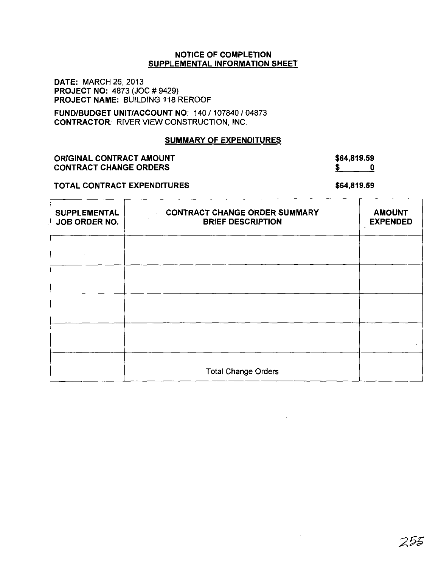**DATE:** MARCH 26,2013 **PROJECT NO:** 4873 (JOC # 9429) **PROJECT NAME:** BUILDING 118 REROOF

**FUND/BUDGET UNIT/ACCOUNT** NO: 140/107840/04873 **CONTRACTOR:** RIVER VIEW CONSTRUCTION, INC.

#### **SUMMARY OF EXPENDITURES**

#### **ORIGINAL CONTRACT AMOUNT CONTRACT CHANGE ORDERS**

## **\$64,819.59**

#### **TOTAL CONTRACT EXPENDITURES**

**\$ 0**

**\$64,819.59**

| <b>SUPPLEMENTAL</b><br>JOB ORDER NO. | <b>CONTRACT CHANGE ORDER SUMMARY</b><br><b>BRIEF DESCRIPTION</b> | <b>AMOUNT</b><br><b>EXPENDED</b> |
|--------------------------------------|------------------------------------------------------------------|----------------------------------|
|                                      |                                                                  |                                  |
|                                      |                                                                  |                                  |
|                                      |                                                                  |                                  |
|                                      |                                                                  |                                  |
|                                      | <b>Total Change Orders</b>                                       |                                  |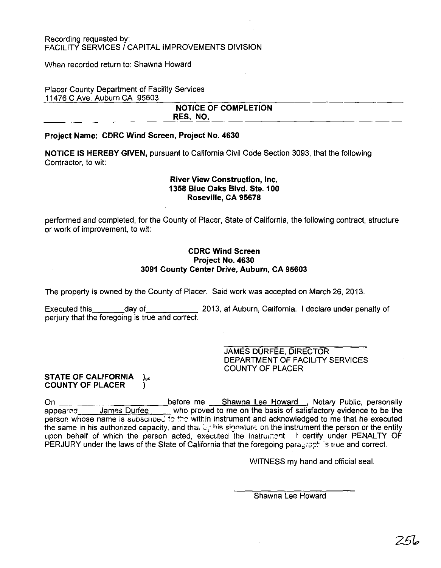When recorded return to: Shawna Howard

Placer County Department of Facility Services 11476 C Ave. Auburn CA 95603

#### **NOTICE OF COMPLETION RES. NO.**

#### **Project Name: CDRC Wind Screen, Project No. 4630**

**NOTICE IS HEREBY GIVEN,** pursuant to California Civil Code Section 3093, that the following Contractor, to wit:

#### **River View Construction, Inc. 1358 Blue Oaks Blvd. Ste. 100 Roseville, CA 95678**

performed and completed, for the County of Placer, State of California, the following contract, structure or work of improvement, to wit:

#### **CDRC Wind Screen Project No. 4630 3091 County Center** Drive, **Auburn, CA 95603**

The property is owned by the County of Placer. Said work was accepted on March 26,2013.

Executed this day of 2013, at Auburn, California. I declare under penalty of perjury that the foregoing is true and correct.

> JAMES DURFEE, DIRECTOR DEPARTMENT OF FACILITY SERVICES COUNTY OF PLACER

#### **STATE OF CALIFORNIA**  $_{\text{bs}}$ **COUNTY OF PLACER l**

On \_\_ \_\_ before me Shawna Lee Howard ,Notary Public, personally who proved to me on the basis of satisfactory evidence to be the person whose name is subscriped to the within instrument and acknowledged to me that he executed the same in his authorized capacity, and that  $\mathbb{L}_i$  his signatur $\epsilon$  on the instrument the person or the entity upon behalf of which the person acted, executed the instrument. I certify under PENALTY OF PERJURY under the laws of the State of California that the foregoing paragraphic to use and correct.

WITNESS my hand and official seal.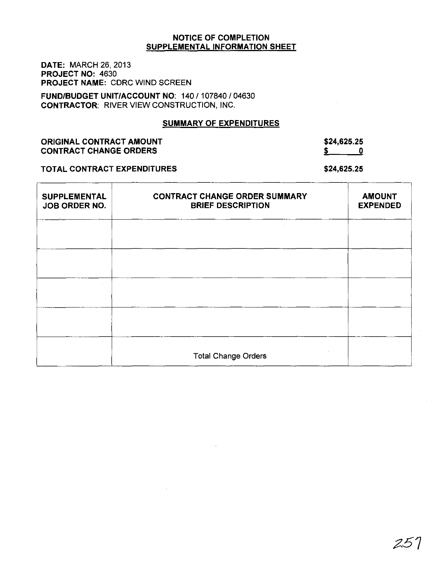DATE: MARCH 26, 2013 PROJECT NO: 4630 PROJECT NAME: CDRC WIND SCREEN

FUND/BUDGET UNIT/ACCOUNT NO: 140/107840/04630 CONTRACTOR: RIVER VIEW CONSTRUCTION, INC.

#### SUMMARY OF EXPENDITURES

ORIGINAL CONTRACT AMOUNT CONTRACT CHANGE ORDERS

\$24,625.25  $\frac{1}{2}$  0

TOTAL CONTRACT EXPENDITURES

\$24,625.25

| <b>SUPPLEMENTAL</b><br>JOB ORDER NO. | <b>CONTRACT CHANGE ORDER SUMMARY</b><br><b>BRIEF DESCRIPTION</b> | <b>AMOUNT</b><br><b>EXPENDED</b> |
|--------------------------------------|------------------------------------------------------------------|----------------------------------|
|                                      |                                                                  |                                  |
|                                      |                                                                  |                                  |
|                                      |                                                                  |                                  |
|                                      |                                                                  |                                  |
|                                      | <b>Total Change Orders</b>                                       |                                  |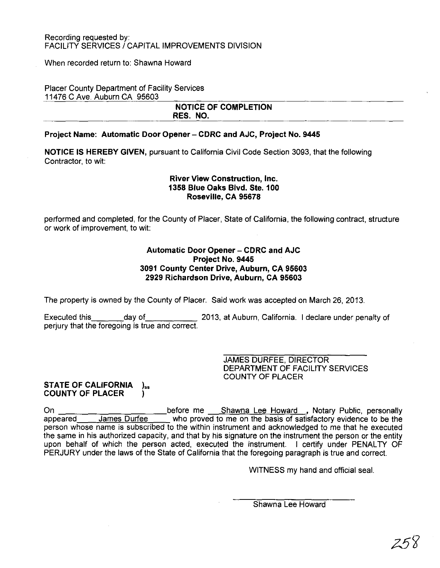When recorded return to: Shawna Howard

#### Placer County Department of Facility Services 11476 C Ave. Auburn CA 95603

#### NOTICE OF COMPLETION RES. NO.

#### Project Name: Automatic Door Opener - CDRC and AJC, Project No. 9445

NOTICE IS HEREBY GIVEN, pursuant to California Civil Code Section 3093, that the following Contractor, to wit:

#### River View Construction, Inc. 1358 Blue Oaks Blvd. Ste. 100 Roseville, CA 95678

performed and completed, for the County of Placer, State of California, the following contract, structure or work of improvement, to wit:

#### Automatic Door Opener - CDRC and AJC Project No. 9445 3091 County Center Drive, AUburn, CA 95603 2929 Richardson Drive, Auburn, CA 95603

The property is owned by the County of Placer. Said work was accepted on March 26,2013.

Executed this day of 2013, at Auburn, California. I declare under penalty of perjury that the foregoing is true and correct.

> JAMES DURFEE, DIRECTOR DEPARTMENT OF FACILITY SERVICES COUNTY OF PLACER

## STATE OF CALIFORNIA )<sub>ss</sub><br>COUNTY OF PLACER

On <u>before me Shawna Lee</u> Howard , Notary Public, personally appeared James Durfee who proved to me on the basis of satisfactory evidence to be the person whose name is subscribed to the within instrument and acknowledged to me that he executed the same in his authorized capacity, and that by his signature on the instrument the person or the entity upon behalf of which the person acted, executed the instrument. I certify under PENALTY OF PERJURY under the laws of the State of California that the foregoing paragraph is true and correct.

WITNESS my hand and official seal.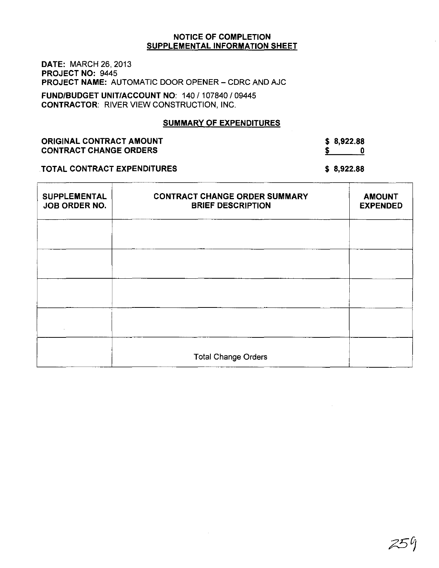DATE: MARCH 26, 2013 PROJECT NO: 9445 PROJECT NAME: AUTOMATIC DOOR OPENER - CDRC AND AJC

FUND/BUDGET UNIT/ACCOUNT NO: 140/107840/09445 CONTRACTOR: RIVER VIEW CONSTRUCTION, INC.

#### SUMMARY OF EXPENDITURES

ORIGINAL CONTRACT AMOUNT CONTRACT CHANGE ORDERS

\$ 8,922.88  $\frac{1}{2}$  0

#### TOTAL CONTRACT EXPENDITURES

\$ 8,922.88

| <b>SUPPLEMENTAL</b><br>JOB ORDER NO. | <b>CONTRACT CHANGE ORDER SUMMARY</b><br><b>BRIEF DESCRIPTION</b> | <b>AMOUNT</b><br><b>EXPENDED</b> |
|--------------------------------------|------------------------------------------------------------------|----------------------------------|
|                                      |                                                                  |                                  |
|                                      |                                                                  |                                  |
|                                      |                                                                  |                                  |
|                                      |                                                                  |                                  |
|                                      | <b>Total Change Orders</b>                                       |                                  |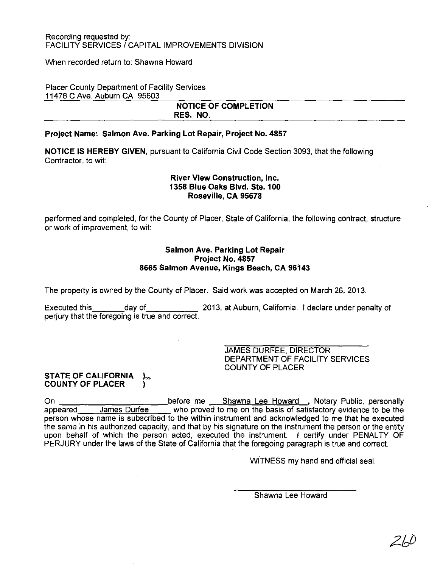#### When recorded return to: Shawna Howard

#### Placer County Department of Facility Services 11476 C Ave. Auburn CA 95603

#### NOTICE OF COMPLETION RES. NO.

#### Project Name: Salmon Ave. Parking Lot Repair, Project No. 4857

NOTICE IS HEREBY GIVEN, pursuant to California Civil Code Section 3093, that the following Contractor, to wit:

#### River View Construction, Inc. 1358 Blue Oaks Blvd. Ste.100 Roseville, CA 95678

performed and completed, for the County of Placer, State of California, the following contract, structure or work of improvement, to wit:

#### Salmon Ave. Parking Lot Repair Project No. 4857 8665 Salmon Avenue, Kings Beach, CA 96143

The property is owned by the County of Placer. Said work was accepted on March 26, 2013.

Executed this day of 2013, at Auburn, California. I declare under penalty of perjury that the foregoing is true and correct.

> JAMES DURFEE, DIRECTOR DEPARTMENT OF FACILITY SERVICES COUNTY OF PLACER

#### STATE OF CALIFORNIA )<sub>ss</sub> COUNTY OF PLACER **I**

On **before me** Shawna Lee Howard, Notary Public, personally appeared James Durfee who proved to me on the basis of satisfactory evidence to be the person whose name is subscribed to the within instrument and acknowledged to me that he executed the same in his authorized capacity, and that by his signature on the instrument the person or the entity upon behalf of which the person acted, executed the instrument. I certify under PENALTY OF PERJURY under the laws of the State of California that the foregoing paragraph is true and correct.

WITNESS my hand and official seal.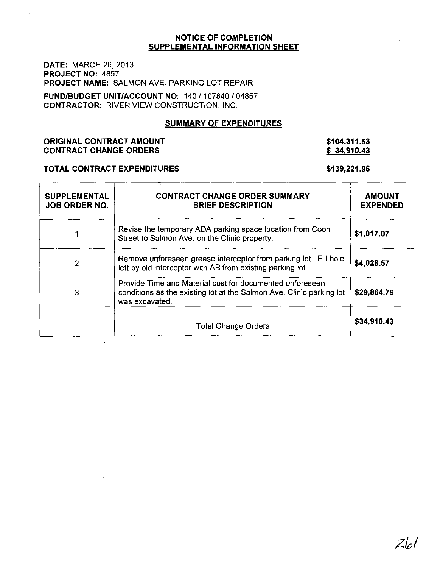**DATE:** MARCH 26, 2013 **PROJECT NO:** 4857 **PROJECT NAME:** SALMON AVE. PARKING **LOT** REPAIR

**FUND/BUDGET UNIT/ACCOUNT** NO: 140/107840/04857 **CONTRACTOR:** RIVER VIEW CONSTRUCTION, INC.

#### **SUMMARY OF EXPENDITURES**

#### **ORIGINAL CONTRACT AMOUNT CONTRACT CHANGE ORDERS**

#### **\$104,311.53 \$ 34,910.43**

#### **TOTAL CONTRACT EXPENDITURES**

#### **\$139,221.96**

| <b>SUPPLEMENTAL</b><br><b>JOB ORDER NO.</b> | <b>CONTRACT CHANGE ORDER SUMMARY</b><br><b>BRIEF DESCRIPTION</b>                                                                                   | <b>AMOUNT</b><br><b>EXPENDED</b> |
|---------------------------------------------|----------------------------------------------------------------------------------------------------------------------------------------------------|----------------------------------|
|                                             | Revise the temporary ADA parking space location from Coon<br>Street to Salmon Ave. on the Clinic property.                                         | \$1,017.07                       |
| $\overline{2}$                              | Remove unforeseen grease interceptor from parking lot. Fill hole<br>left by old interceptor with AB from existing parking lot.                     | \$4,028.57                       |
| 3                                           | Provide Time and Material cost for documented unforeseen<br>conditions as the existing lot at the Salmon Ave. Clinic parking lot<br>was excavated. | \$29,864.79                      |
|                                             | <b>Total Change Orders</b>                                                                                                                         | \$34,910.43                      |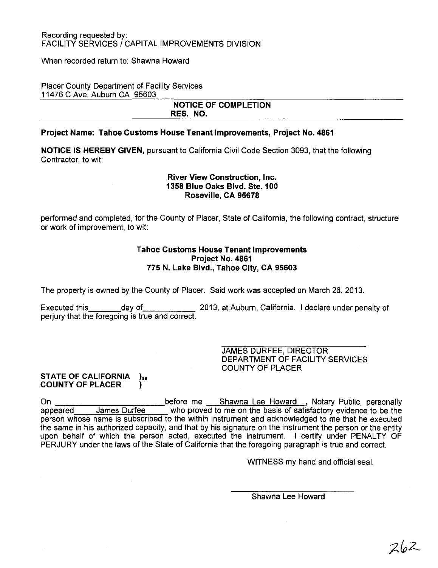When recorded return to: Shawna Howard

Placer County Department of Facility Services 11476 C Ave. Auburn CA 95603

#### **NOTICE OF COMPLETION RES. NO.**

#### **Project Name: Tahoe Customs House Tenant Improvements, Project No. 4861**

**NOTICE IS HEREBY GIVEN,** pursuant to California Civil Code Section 3093, that the following Contractor, to wit:

#### **River View Construction, Inc. 1358 Blue Oaks Blvd. Ste. 100 Roseville, CA 95678**

performed and completed, for the County of Placer, State of California, the following contract, structure or work of improvement, to wit:

#### **Tahoe Customs House Tenant Improvements Project No. 4861 775 N. Lake Blvd., Tahoe** City, **CA 95603**

The property is owned by the County of Placer. Said work was accepted on March 26, 2013.

Executed this day of 2013, at Auburn, California. I declare under penalty of perjury that the foregoing is true and correct.

> JAMES DURFEE, DIRECTOR DEPARTMENT OF FACILITY SERVICES COUNTY OF PLACER

#### **STATE OF CALIFORNIA** )<sub>ss</sub> **COUNTY OF PLACER )**

On before me Shawna Lee Howard ,Notary PUblic, personally appeared James Durfee who proved to me on the basis of satisfactory evidence to be the person whose name is subscribed to the within instrument and acknowledged to me that he executed the same in his authorized capacity, and that by his signature on the instrument the person or the entity upon behalf of which the person acted, executed the instrument. I certify under PENALTY OF PERJURY under the laws of the State of California that the foregoing paragraph is true and correct.

WITNESS my hand and official seal.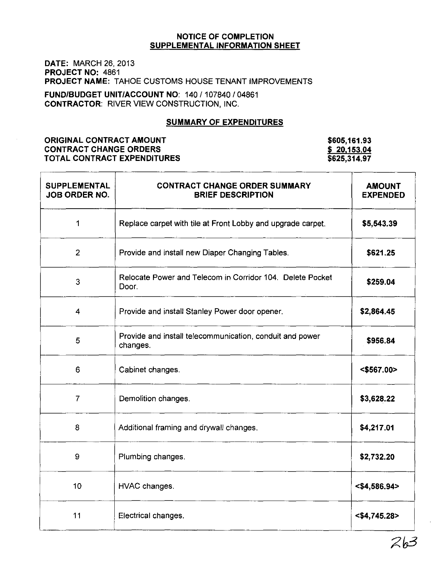DATE: MARCH 26, 2013 PROJECT NO: 4861 PROJECT NAME: TAHOE CUSTOMS HOUSE TENANT IMPROVEMENTS

FUND/BUDGET UNIT/ACCOUNT NO: 140/107840/04861 CONTRACTOR: RIVER VIEW CONSTRUCTION, INC.

#### SUMMARY OF EXPENDITURES

#### ORIGINAL CONTRACT AMOUNT CONTRACT CHANGE ORDERS TOTAL CONTRACT EXPENDITURES

\$605,161.93 \$ 20,153.04 \$625,314.97

| <b>SUPPLEMENTAL</b><br><b>JOB ORDER NO.</b> | <b>CONTRACT CHANGE ORDER SUMMARY</b><br><b>BRIEF DESCRIPTION</b>     | <b>AMOUNT</b><br><b>EXPENDED</b> |
|---------------------------------------------|----------------------------------------------------------------------|----------------------------------|
| 1                                           | Replace carpet with tile at Front Lobby and upgrade carpet.          | \$5,543.39                       |
| $\overline{2}$                              | Provide and install new Diaper Changing Tables.                      | \$621.25                         |
| 3                                           | Relocate Power and Telecom in Corridor 104. Delete Pocket<br>Door.   | \$259.04                         |
| $\overline{\mathbf{4}}$                     | Provide and install Stanley Power door opener.                       | \$2,864.45                       |
| 5                                           | Provide and install telecommunication, conduit and power<br>changes. | \$956.84                         |
| 6                                           | Cabinet changes.                                                     | $<$ \$567.00 $>$                 |
| $\overline{7}$                              | Demolition changes.                                                  | \$3,628.22                       |
| 8                                           | Additional framing and drywall changes.                              | \$4,217.01                       |
| 9                                           | Plumbing changes.                                                    | \$2,732.20                       |
| 10 <sub>1</sub>                             | HVAC changes.                                                        | $<$ \$4,586.94>                  |
| 11                                          | Electrical changes.                                                  | $<$ \$4,745.28>                  |